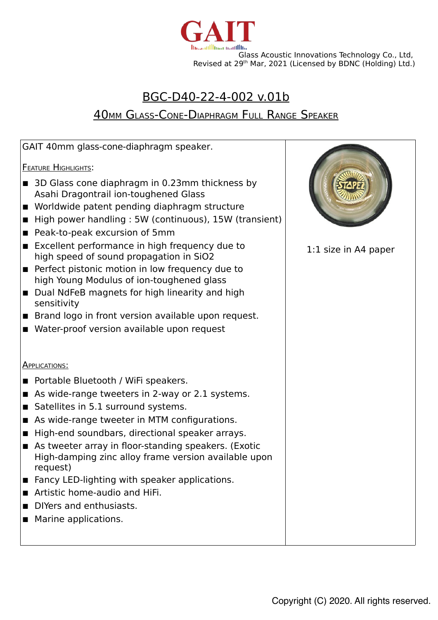

## BGC-D40-22-4-002 v.01b

# **40MM GLASS-CONE-DIAPHRAGM FULL RANGE SPEAKER**

| GAIT 40mm glass-cone-diaphragm speaker.                                                                                                                                                                                                                                                                                                                                                                                                                                                                                                                                                                   |                        |
|-----------------------------------------------------------------------------------------------------------------------------------------------------------------------------------------------------------------------------------------------------------------------------------------------------------------------------------------------------------------------------------------------------------------------------------------------------------------------------------------------------------------------------------------------------------------------------------------------------------|------------------------|
| <b>FEATURE HIGHLIGHTS:</b>                                                                                                                                                                                                                                                                                                                                                                                                                                                                                                                                                                                |                        |
| 3D Glass cone diaphragm in 0.23mm thickness by<br>Asahi Dragontrail ion-toughened Glass<br>Worldwide patent pending diaphragm structure<br>High power handling: 5W (continuous), 15W (transient)<br>Peak-to-peak excursion of 5mm<br>■<br>Excellent performance in high frequency due to<br>high speed of sound propagation in SiO2<br>Perfect pistonic motion in low frequency due to<br>high Young Modulus of ion-toughened glass<br>Dual NdFeB magnets for high linearity and high<br>sensitivity<br>Brand logo in front version available upon request.<br>Water-proof version available upon request | $1:1$ size in A4 paper |
| <b>APPLICATIONS:</b>                                                                                                                                                                                                                                                                                                                                                                                                                                                                                                                                                                                      |                        |
| Portable Bluetooth / WiFi speakers.                                                                                                                                                                                                                                                                                                                                                                                                                                                                                                                                                                       |                        |
| As wide-range tweeters in 2-way or 2.1 systems.<br>$\blacksquare$                                                                                                                                                                                                                                                                                                                                                                                                                                                                                                                                         |                        |
| Satellites in 5.1 surround systems.<br>$\blacksquare$                                                                                                                                                                                                                                                                                                                                                                                                                                                                                                                                                     |                        |
| As wide-range tweeter in MTM configurations.<br>■                                                                                                                                                                                                                                                                                                                                                                                                                                                                                                                                                         |                        |
| High-end soundbars, directional speaker arrays.<br>п                                                                                                                                                                                                                                                                                                                                                                                                                                                                                                                                                      |                        |
| As tweeter array in floor-standing speakers. (Exotic<br>High-damping zinc alloy frame version available upon                                                                                                                                                                                                                                                                                                                                                                                                                                                                                              |                        |
| request)                                                                                                                                                                                                                                                                                                                                                                                                                                                                                                                                                                                                  |                        |
| Fancy LED-lighting with speaker applications.                                                                                                                                                                                                                                                                                                                                                                                                                                                                                                                                                             |                        |
| Artistic home-audio and HiFi.                                                                                                                                                                                                                                                                                                                                                                                                                                                                                                                                                                             |                        |
| DIYers and enthusiasts.                                                                                                                                                                                                                                                                                                                                                                                                                                                                                                                                                                                   |                        |
| Marine applications.                                                                                                                                                                                                                                                                                                                                                                                                                                                                                                                                                                                      |                        |
|                                                                                                                                                                                                                                                                                                                                                                                                                                                                                                                                                                                                           |                        |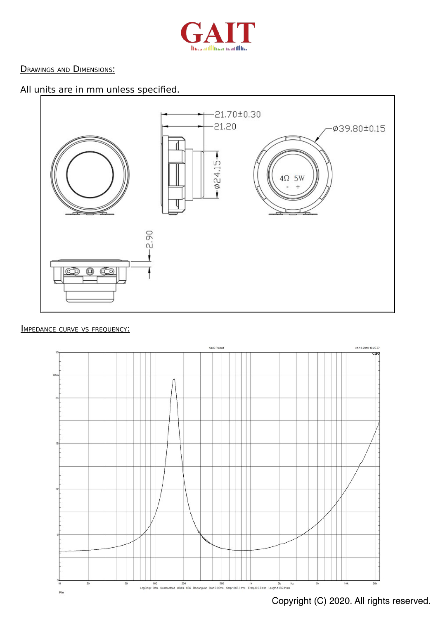

#### **DRAWINGS AND DIMENSIONS:**

### All units are in mm unless specified.



#### IMPEDANCE CURVE VS FREQUENCY:



Copyright (C) 2020. All rights reserved.